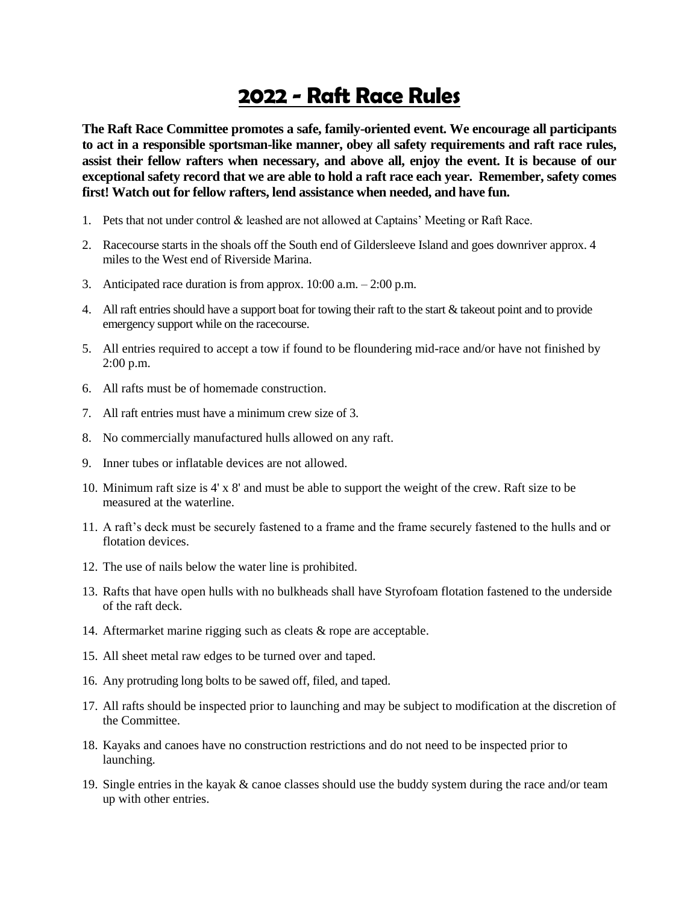## **2022 - Raft Race Rules**

**The Raft Race Committee promotes a safe, family-oriented event. We encourage all participants to act in a responsible sportsman-like manner, obey all safety requirements and raft race rules, assist their fellow rafters when necessary, and above all, enjoy the event. It is because of our exceptional safety record that we are able to hold a raft race each year. Remember, safety comes first! Watch out for fellow rafters, lend assistance when needed, and have fun.**

- 1. Pets that not under control & leashed are not allowed at Captains' Meeting or Raft Race.
- 2. Racecourse starts in the shoals off the South end of Gildersleeve Island and goes downriver approx. 4 miles to the West end of Riverside Marina.
- 3. Anticipated race duration is from approx. 10:00 a.m. 2:00 p.m.
- 4. All raft entries should have a support boat for towing their raft to the start & takeout point and to provide emergency support while on the racecourse.
- 5. All entries required to accept a tow if found to be floundering mid-race and/or have not finished by 2:00 p.m.
- 6. All rafts must be of homemade construction.
- 7. All raft entries must have a minimum crew size of 3.
- 8. No commercially manufactured hulls allowed on any raft.
- 9. Inner tubes or inflatable devices are not allowed.
- 10. Minimum raft size is 4' x 8' and must be able to support the weight of the crew. Raft size to be measured at the waterline.
- 11. A raft's deck must be securely fastened to a frame and the frame securely fastened to the hulls and or flotation devices.
- 12. The use of nails below the water line is prohibited.
- 13. Rafts that have open hulls with no bulkheads shall have Styrofoam flotation fastened to the underside of the raft deck.
- 14. Aftermarket marine rigging such as cleats & rope are acceptable.
- 15. All sheet metal raw edges to be turned over and taped.
- 16. Any protruding long bolts to be sawed off, filed, and taped.
- 17. All rafts should be inspected prior to launching and may be subject to modification at the discretion of the Committee.
- 18. Kayaks and canoes have no construction restrictions and do not need to be inspected prior to launching.
- 19. Single entries in the kayak & canoe classes should use the buddy system during the race and/or team up with other entries.